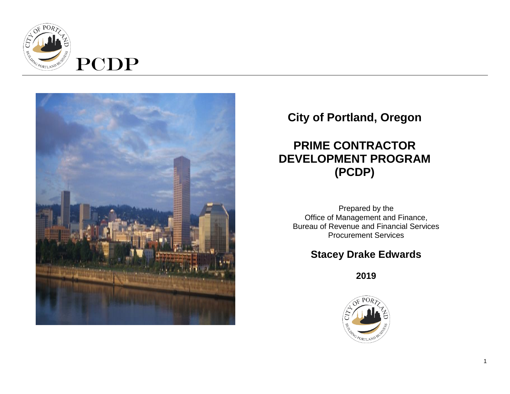



**City of Portland, Oregon**

# **PRIME CONTRACTOR DEVELOPMENT PROGRAM (PCDP)**

Prepared by the Office of Management and Finance, Bureau of Revenue and Financial Services Procurement Services

# **Stacey Drake Edwards**

**2019**

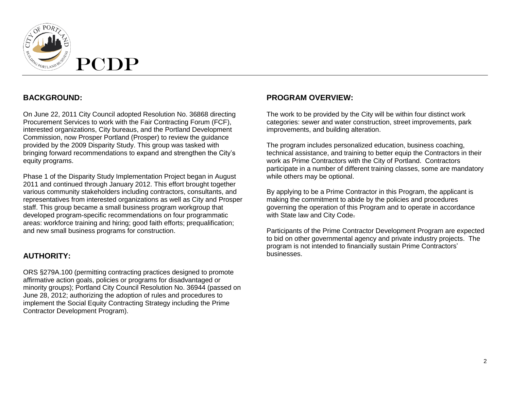

## **BACKGROUND:**

On June 22, 2011 City Council adopted Resolution No. 36868 directing Procurement Services to work with the Fair Contracting Forum (FCF), interested organizations, City bureaus, and the Portland Development Commission, now Prosper Portland (Prosper) to review the guidance provided by the 2009 Disparity Study. This group was tasked with bringing forward recommendations to expand and strengthen the City's equity programs.

Phase 1 of the Disparity Study Implementation Project began in August 2011 and continued through January 2012. This effort brought together various community stakeholders including contractors, consultants, and representatives from interested organizations as well as City and Prosper staff. This group became a small business program workgroup that developed program-specific recommendations on four programmatic areas: workforce training and hiring; good faith efforts; prequalification; and new small business programs for construction.

## **AUTHORITY:**

ORS §279A.100 (permitting contracting practices designed to promote affirmative action goals, policies or programs for disadvantaged or minority groups); Portland City Council Resolution No. 36944 (passed on June 28, 2012; authorizing the adoption of rules and procedures to implement the Social Equity Contracting Strategy including the Prime Contractor Development Program).

# **PROGRAM OVERVIEW:**

The work to be provided by the City will be within four distinct work categories: sewer and water construction, street improvements, park improvements, and building alteration.

The program includes personalized education, business coaching, technical assistance, and training to better equip the Contractors in their work as Prime Contractors with the City of Portland. Contractors participate in a number of different training classes, some are mandatory while others may be optional.

By applying to be a Prime Contractor in this Program, the applicant is making the commitment to abide by the policies and procedures governing the operation of this Program and to operate in accordance with State law and City Code.

Participants of the Prime Contractor Development Program are expected to bid on other governmental agency and private industry projects. The program is not intended to financially sustain Prime Contractors' businesses.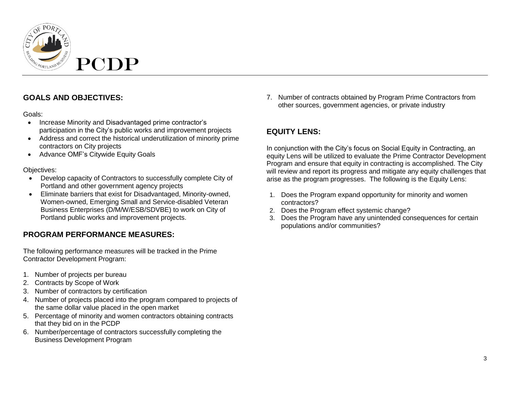

# **GOALS AND OBJECTIVES:**

### Goals:

- Increase Minority and Disadvantaged prime contractor's participation in the City's public works and improvement projects
- Address and correct the historical underutilization of minority prime contractors on City projects
- Advance OMF's Citywide Equity Goals

### Objectives:

- Develop capacity of Contractors to successfully complete City of Portland and other government agency projects
- Eliminate barriers that exist for Disadvantaged, Minority-owned, Women-owned, Emerging Small and Service-disabled Veteran Business Enterprises (D/M/W/ESB/SDVBE) to work on City of Portland public works and improvement projects.

## **PROGRAM PERFORMANCE MEASURES:**

The following performance measures will be tracked in the Prime Contractor Development Program:

- 1. Number of projects per bureau
- 2. Contracts by Scope of Work
- 3. Number of contractors by certification
- 4. Number of projects placed into the program compared to projects of the same dollar value placed in the open market
- 5. Percentage of minority and women contractors obtaining contracts that they bid on in the PCDP
- 6. Number/percentage of contractors successfully completing the Business Development Program

7. Number of contracts obtained by Program Prime Contractors from other sources, government agencies, or private industry

# **EQUITY LENS:**

In conjunction with the City's focus on Social Equity in Contracting, an equity Lens will be utilized to evaluate the Prime Contractor Development Program and ensure that equity in contracting is accomplished. The City will review and report its progress and mitigate any equity challenges that arise as the program progresses. The following is the Equity Lens:

- 1. Does the Program expand opportunity for minority and women contractors?
- 2. Does the Program effect systemic change?
- 3. Does the Program have any unintended consequences for certain populations and/or communities?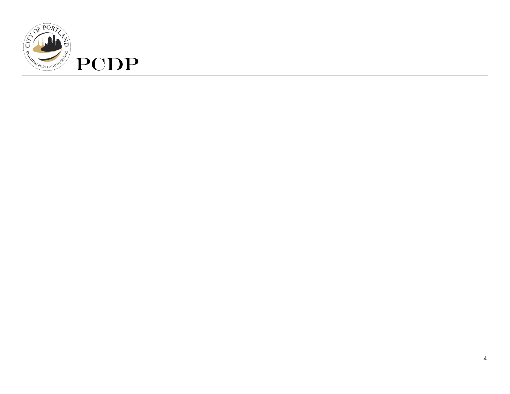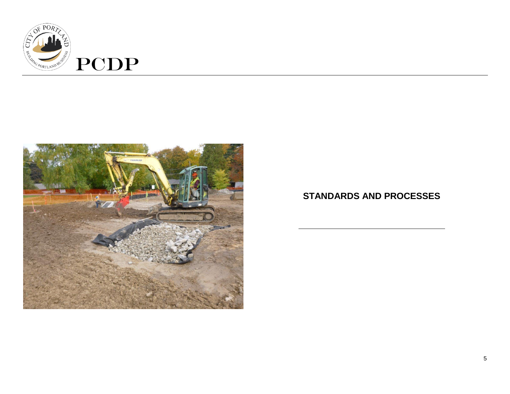



# **STANDARDS AND PROCESSES**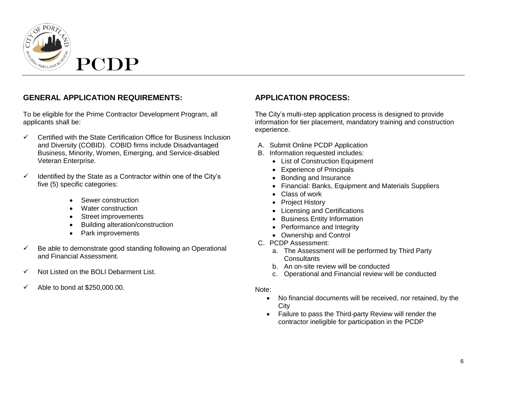

# **GENERAL APPLICATION REQUIREMENTS:**

To be eligible for the Prime Contractor Development Program, all applicants shall be:

- $\checkmark$  Certified with the State Certification Office for Business Inclusion and Diversity (COBID). COBID firms include Disadvantaged Business, Minority, Women, Emerging, and Service-disabled Veteran Enterprise.
- $\checkmark$  Identified by the State as a Contractor within one of the City's five (5) specific categories:
	- Sewer construction
	- Water construction
	- Street improvements
	- Building alteration/construction
	- Park improvements
- ✓ Be able to demonstrate good standing following an Operational and Financial Assessment.
- $\checkmark$  Not Listed on the BOLI Debarment List.
- $\checkmark$  Able to bond at \$250,000.00.

# **APPLICATION PROCESS:**

The City's multi-step application process is designed to provide information for tier placement, mandatory training and construction experience.

- A. Submit Online PCDP Application
- B. Information requested includes:
	- List of Construction Equipment
	- Experience of Principals
	- Bonding and Insurance
	- Financial: Banks, Equipment and Materials Suppliers
	- Class of work
	- Project History
	- Licensing and Certifications
	- Business Entity Information
	- Performance and Integrity
	- Ownership and Control
- C. PCDP Assessment:
	- a. The Assessment will be performed by Third Party **Consultants**
	- b. An on-site review will be conducted
	- c. Operational and Financial review will be conducted

## Note:

- No financial documents will be received, nor retained, by the City
- Failure to pass the Third-party Review will render the contractor ineligible for participation in the PCDP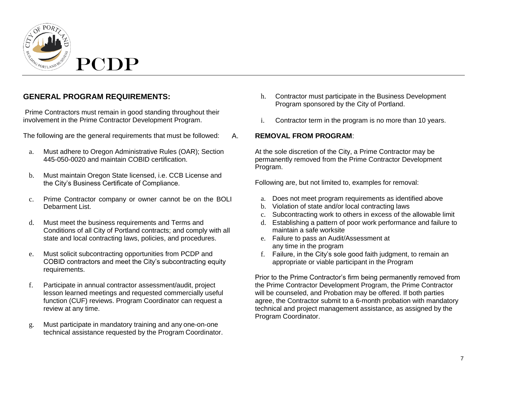

# **GENERAL PROGRAM REQUIREMENTS:**

Prime Contractors must remain in good standing throughout their involvement in the Prime Contractor Development Program.

The following are the general requirements that must be followed:

- a. Must adhere to Oregon Administrative Rules (OAR); Section 445-050-0020 and maintain COBID certification.
- b. Must maintain Oregon State licensed, i.e. CCB License and the City's Business Certificate of Compliance.
- c. Prime Contractor company or owner cannot be on the BOLI Debarment List.
- d. Must meet the business requirements and Terms and Conditions of all City of Portland contracts; and comply with all state and local contracting laws, policies, and procedures.
- e. Must solicit subcontracting opportunities from PCDP and COBID contractors and meet the City's subcontracting equity requirements.
- f. Participate in annual contractor assessment/audit, project lesson learned meetings and requested commercially useful function (CUF) reviews. Program Coordinator can request a review at any time.
- g. Must participate in mandatory training and any one-on-one technical assistance requested by the Program Coordinator.
- h. Contractor must participate in the Business Development Program sponsored by the City of Portland.
- i. Contractor term in the program is no more than 10 years.

### A. **REMOVAL FROM PROGRAM**:

At the sole discretion of the City, a Prime Contractor may be permanently removed from the Prime Contractor Development Program.

Following are, but not limited to, examples for removal:

- a. Does not meet program requirements as identified above
- b. Violation of state and/or local contracting laws
- c. Subcontracting work to others in excess of the allowable limit
- d. Establishing a pattern of poor work performance and failure to maintain a safe worksite
- e. Failure to pass an Audit/Assessment at any time in the program
- f. Failure, in the City's sole good faith judgment, to remain an appropriate or viable participant in the Program

Prior to the Prime Contractor's firm being permanently removed from the Prime Contractor Development Program, the Prime Contractor will be counseled, and Probation may be offered. If both parties agree, the Contractor submit to a 6-month probation with mandatory technical and project management assistance, as assigned by the Program Coordinator.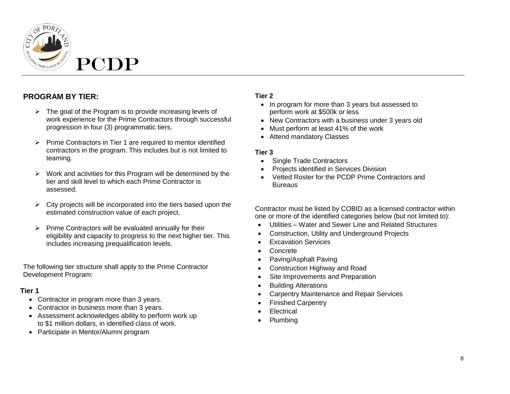

## **PROGRAM BY TIER:**

- $\triangleright$  The goal of the Program is to provide increasing levels of work experience for the Prime Contractors through successful progression in four (3) programmatic tiers.
- ➢ Prime Contractors in Tier 1 are required to mentor identified contractors in the program. This includes but is not limited to teaming.
- $\triangleright$  Work and activities for this Program will be determined by the tier and skill level to which each Prime Contractor is assessed.
- $\triangleright$  City projects will be incorporated into the tiers based upon the estimated construction value of each project.
- $\triangleright$  Prime Contractors will be evaluated annually for their eligibility and capacity to progress to the next higher tier. This includes increasing prequalification levels.

The following tier structure shall apply to the Prime Contractor Development Program:

## **Tier 1**

- Contractor in program more than 3 years.
- Contractor in business more than 3 years.
- Assessment acknowledges ability to perform work up to \$1 million dollars, in identified class of work.
- Participate in Mentor/Alumni program

## **Tier 2**

- In program for more than 3 years but assessed to perform work at \$500k or less
- New Contractors with a business under 3 years old
- Must perform at least 41% of the work
- Attend mandatory Classes

### **Tier 3**

- Single Trade Contractors
- Projects identified in Services Division
- Vetted Roster for the PCDP Prime Contractors and **Bureaus**

Contractor must be listed by COBID as a licensed contractor within one or more of the identified categories below (but not limited to):

- Utilities Water and Sewer Line and Related Structures
- Construction, Utility and Underground Projects
- Excavation Services
- Concrete
- Paving/Asphalt Paving
- Construction Highway and Road
- Site Improvements and Preparation
- Building Alterations
- Carpentry Maintenance and Repair Services
- Finished Carpentry
- **Electrical**
- Plumbing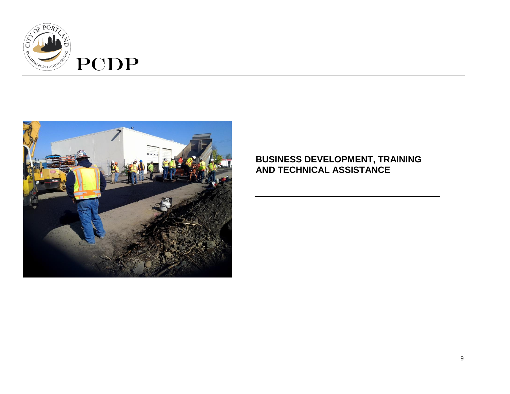



# **BUSINESS DEVELOPMENT, TRAINING AND TECHNICAL ASSISTANCE**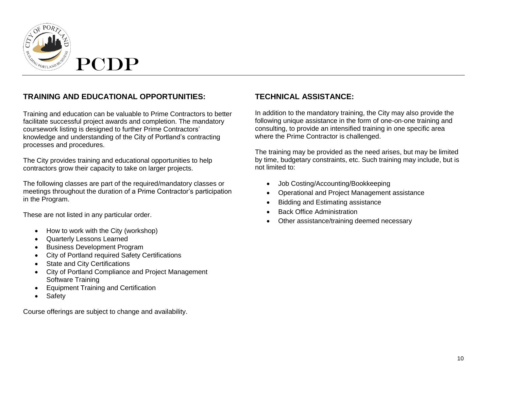

# **TRAINING AND EDUCATIONAL OPPORTUNITIES:**

Training and education can be valuable to Prime Contractors to better facilitate successful project awards and completion. The mandatory coursework listing is designed to further Prime Contractors' knowledge and understanding of the City of Portland's contracting processes and procedures.

The City provides training and educational opportunities to help contractors grow their capacity to take on larger projects.

The following classes are part of the required/mandatory classes or meetings throughout the duration of a Prime Contractor's participation in the Program.

These are not listed in any particular order.

- How to work with the City (workshop)
- Quarterly Lessons Learned
- Business Development Program
- City of Portland required Safety Certifications
- State and City Certifications
- City of Portland Compliance and Project Management Software Training
- Equipment Training and Certification
- Safety

Course offerings are subject to change and availability.

# **TECHNICAL ASSISTANCE:**

In addition to the mandatory training, the City may also provide the following unique assistance in the form of one-on-one training and consulting, to provide an intensified training in one specific area where the Prime Contractor is challenged.

The training may be provided as the need arises, but may be limited by time, budgetary constraints, etc. Such training may include, but is not limited to:

- Job Costing/Accounting/Bookkeeping
- Operational and Project Management assistance
- Bidding and Estimating assistance
- Back Office Administration
- Other assistance/training deemed necessary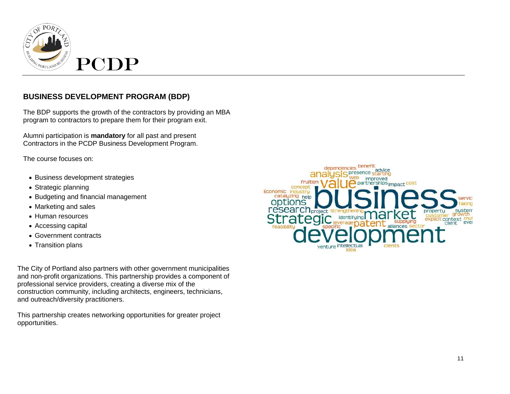

# **BUSINESS DEVELOPMENT PROGRAM (BDP)**

The BDP supports the growth of the contractors by providing an MBA program to contractors to prepare them for their program exit.

Alumni participation is **mandatory** for all past and present Contractors in the PCDP Business Development Program.

The course focuses on:

- Business development strategies
- Strategic planning
- Budgeting and financial management
- Marketing and sales
- Human resources
- Accessing capital
- Government contracts
- Transition plans

The City of Portland also partners with other government municipalities and non-profit organizations. This partnership provides a component of professional service providers, creating a diverse mix of the construction community, including architects, engineers, technicians, and outreach/diversity practitioners.

This partnership creates networking opportunities for greater project opportunities.

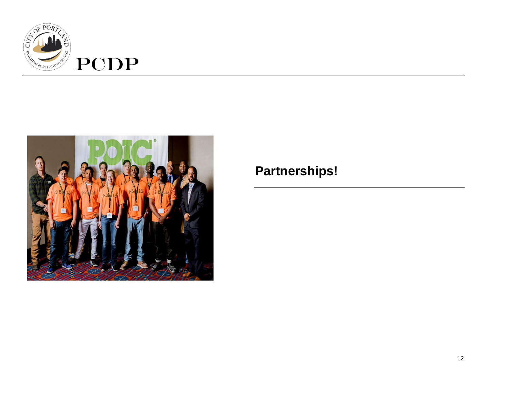



# **Partnerships!**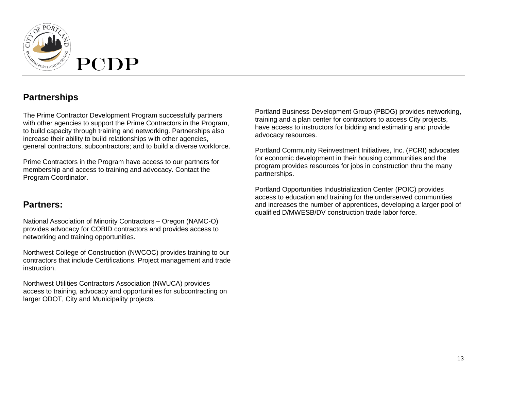

# **Partnerships**

The Prime Contractor Development Program successfully partners with other agencies to support the Prime Contractors in the Program, to build capacity through training and networking. Partnerships also increase their ability to build relationships with other agencies, general contractors, subcontractors; and to build a diverse workforce.

Prime Contractors in the Program have access to our partners for membership and access to training and advocacy. Contact the Program Coordinator.

# **Partners:**

National Association of Minority Contractors – Oregon (NAMC-O) provides advocacy for COBID contractors and provides access to networking and training opportunities.

Northwest College of Construction (NWCOC) provides training to our contractors that include Certifications, Project management and trade instruction.

Northwest Utilities Contractors Association (NWUCA) provides access to training, advocacy and opportunities for subcontracting on larger ODOT, City and Municipality projects.

Portland Business Development Group (PBDG) provides networking, training and a plan center for contractors to access City projects, have access to instructors for bidding and estimating and provide advocacy resources.

Portland Community Reinvestment Initiatives, Inc. (PCRI) advocates for economic development in their housing communities and the program provides resources for jobs in construction thru the many partnerships.

Portland Opportunities Industrialization Center (POIC) provides access to education and training for the underserved communities and increases the number of apprentices, developing a larger pool of qualified D/MWESB/DV construction trade labor force.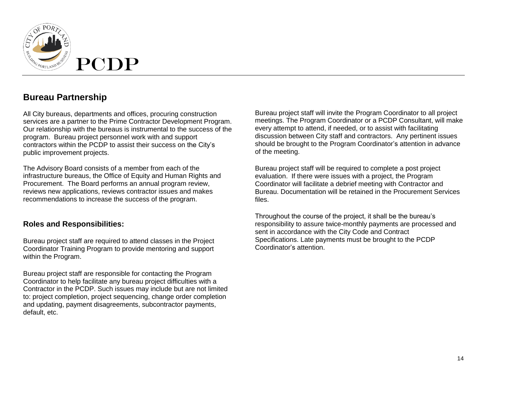

# **Bureau Partnership**

All City bureaus, departments and offices, procuring construction services are a partner to the Prime Contractor Development Program. Our relationship with the bureaus is instrumental to the success of the program. Bureau project personnel work with and support contractors within the PCDP to assist their success on the City's public improvement projects.

The Advisory Board consists of a member from each of the infrastructure bureaus, the Office of Equity and Human Rights and Procurement. The Board performs an annual program review, reviews new applications, reviews contractor issues and makes recommendations to increase the success of the program.

## **Roles and Responsibilities:**

Bureau project staff are required to attend classes in the Project Coordinator Training Program to provide mentoring and support within the Program.

Bureau project staff are responsible for contacting the Program Coordinator to help facilitate any bureau project difficulties with a Contractor in the PCDP. Such issues may include but are not limited to: project completion, project sequencing, change order completion and updating, payment disagreements, subcontractor payments, default, etc.

Bureau project staff will invite the Program Coordinator to all project meetings. The Program Coordinator or a PCDP Consultant, will make every attempt to attend, if needed, or to assist with facilitating discussion between City staff and contractors. Any pertinent issues should be brought to the Program Coordinator's attention in advance of the meeting.

Bureau project staff will be required to complete a post project evaluation. If there were issues with a project, the Program Coordinator will facilitate a debrief meeting with Contractor and Bureau. Documentation will be retained in the Procurement Services files.

Throughout the course of the project, it shall be the bureau's responsibility to assure twice-monthly payments are processed and sent in accordance with the City Code and Contract Specifications. Late payments must be brought to the PCDP Coordinator's attention.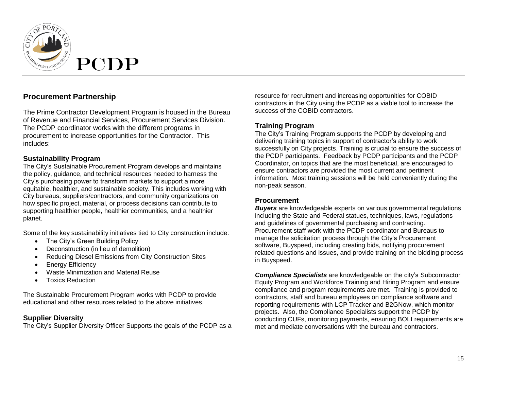

## **Procurement Partnership**

The Prime Contractor Development Program is housed in the Bureau of Revenue and Financial Services, Procurement Services Division. The PCDP coordinator works with the different programs in procurement to increase opportunities for the Contractor. This includes:

### **Sustainability Program**

The City's Sustainable Procurement Program develops and maintains the policy, guidance, and technical resources needed to harness the City's purchasing power to transform markets to support a more equitable, healthier, and sustainable society. This includes working with City bureaus, suppliers/contractors, and community organizations on how specific project, material, or process decisions can contribute to supporting healthier people, healthier communities, and a healthier planet.

Some of the key sustainability initiatives tied to City construction include:

- The City's Green Building Policy
- Deconstruction (in lieu of demolition)
- Reducing Diesel Emissions from City Construction Sites
- **Energy Efficiency**
- Waste Minimization and Material Reuse
- Toxics Reduction

The Sustainable Procurement Program works with PCDP to provide educational and other resources related to the above initiatives.

### **Supplier Diversity**

The City's Supplier Diversity Officer Supports the goals of the PCDP as a

resource for recruitment and increasing opportunities for COBID contractors in the City using the PCDP as a viable tool to increase the success of the COBID contractors.

## **Training Program**

The City's Training Program supports the PCDP by developing and delivering training topics in support of contractor's ability to work successfully on City projects. Training is crucial to ensure the success of the PCDP participants. Feedback by PCDP participants and the PCDP Coordinator, on topics that are the most beneficial, are encouraged to ensure contractors are provided the most current and pertinent information. Most training sessions will be held conveniently during the non-peak season.

### **Procurement**

*Buyers* are knowledgeable experts on various governmental regulations including the State and Federal statues, techniques, laws, regulations and guidelines of governmental purchasing and contracting. Procurement staff work with the PCDP coordinator and Bureaus to manage the solicitation process through the City's Procurement software, Buyspeed, including creating bids, notifying procurement related questions and issues, and provide training on the bidding process in Buyspeed.

*Compliance Specialists* are knowledgeable on the city's Subcontractor Equity Program and Workforce Training and Hiring Program and ensure compliance and program requirements are met. Training is provided to contractors, staff and bureau employees on compliance software and reporting requirements with LCP Tracker and B2GNow, which monitor projects. Also, the Compliance Specialists support the PCDP by conducting CUFs, monitoring payments, ensuring BOLI requirements are met and mediate conversations with the bureau and contractors.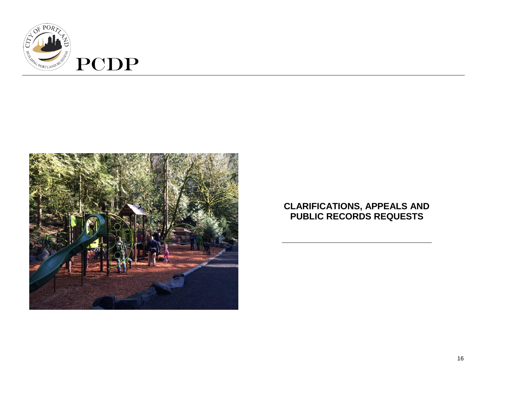



# **CLARIFICATIONS, APPEALS AND PUBLIC RECORDS REQUESTS**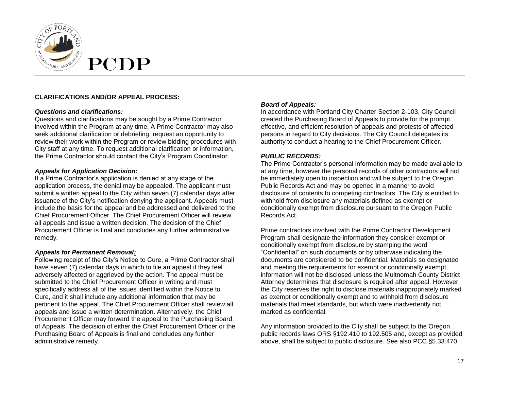

### **CLARIFICATIONS AND/OR APPEAL PROCESS:**

#### *Questions and clarifications:*

Questions and clarifications may be sought by a Prime Contractor involved within the Program at any time. A Prime Contractor may also seek additional clarification or debriefing, request an opportunity to review their work within the Program or review bidding procedures with City staff at any time. To request additional clarification or information, the Prime Contractor should contact the City's Program Coordinator.

### *Appeals for Application Decision:*

If a Prime Contractor's application is denied at any stage of the application process, the denial may be appealed. The applicant must submit a written appeal to the City within seven (7) calendar days after issuance of the City's notification denying the applicant. Appeals must include the basis for the appeal and be addressed and delivered to the Chief Procurement Officer. The Chief Procurement Officer will review all appeals and issue a written decision. The decision of the Chief Procurement Officer is final and concludes any further administrative remedy.

#### *Appeals for Permanent Removal:*

Following receipt of the City's Notice to Cure, a Prime Contractor shall have seven (7) calendar days in which to file an appeal if they feel adversely affected or aggrieved by the action. The appeal must be submitted to the Chief Procurement Officer in writing and must specifically address all of the issues identified within the Notice to Cure, and it shall include any additional information that may be pertinent to the appeal. The Chief Procurement Officer shall review all appeals and issue a written determination. Alternatively, the Chief Procurement Officer may forward the appeal to the Purchasing Board of Appeals. The decision of either the Chief Procurement Officer or the Purchasing Board of Appeals is final and concludes any further administrative remedy.

### *Board of Appeals:*

In accordance with Portland City Charter Section 2-103, City Council created the Purchasing Board of Appeals to provide for the prompt, effective, and efficient resolution of appeals and protests of affected persons in regard to City decisions. The City Council delegates its authority to conduct a hearing to the Chief Procurement Officer.

### *PUBLIC RECORDS:*

The Prime Contractor's personal information may be made available to at any time, however the personal records of other contractors will not be immediately open to inspection and will be subject to the Oregon Public Records Act and may be opened in a manner to avoid disclosure of contents to competing contractors. The City is entitled to withhold from disclosure any materials defined as exempt or conditionally exempt from disclosure pursuant to the Oregon Public Records Act.

Prime contractors involved with the Prime Contractor Development Program shall designate the information they consider exempt or conditionally exempt from disclosure by stamping the word "Confidential" on such documents or by otherwise indicating the documents are considered to be confidential. Materials so designated and meeting the requirements for exempt or conditionally exempt information will not be disclosed unless the Multnomah County District Attorney determines that disclosure is required after appeal. However, the City reserves the right to disclose materials inappropriately marked as exempt or conditionally exempt and to withhold from disclosure materials that meet standards, but which were inadvertently not marked as confidential.

Any information provided to the City shall be subject to the Oregon public records laws ORS §192.410 to 192.505 and, except as provided above, shall be subject to public disclosure. See also PCC §5.33.470.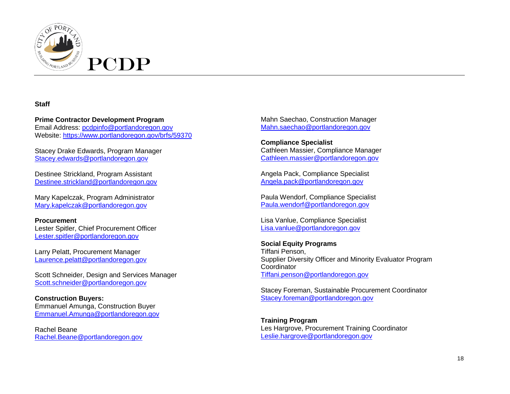

### **Staff**

**Prime Contractor Development Program** Email Address: [pcdpinfo@portlandoregon.gov](mailto:pcdpinfo@portlandoregon.gov) Website:<https://www.portlandoregon.gov/brfs/59370>

Stacey Drake Edwards, Program Manager [Stacey.edwards@portlandoregon.gov](mailto:Stacey.edwards@portlandoregon.gov)

Destinee Strickland, Program Assistant [Destinee.strickland@portlandoregon.gov](mailto:Destinee.strickland@portlandoregon.gov)

Mary Kapelczak, Program Administrator [Mary.kapelczak@portlandoregon.gov](mailto:Mary.kapelczak@portlandoregon.gov)

### **Procurement**

Lester Spitler, Chief Procurement Officer [Lester.spitler@portlandoregon.gov](mailto:Lester.spitler@portlandoregon.gov)

Larry Pelatt, Procurement Manager [Laurence.pelatt@portlandoregon.gov](mailto:Laurence.pelatt@portlandoregon.gov)

Scott Schneider, Design and Services Manager [Scott.schneider@portlandoregon.gov](mailto:Scott.schneider@portlandoregon.gov)

**Construction Buyers:** Emmanuel Amunga, Construction Buyer [Emmanuel.Amunga@portlandoregon.gov](mailto:Emmanuel.Amunga@portlandoregon.gov)

Rachel Beane [Rachel.Beane@portlandoregon.gov](mailto:Rachel.Beane@portlandoregon.gov) Mahn Saechao, Construction Manager [Mahn.saechao@portlandoregon.gov](mailto:Mahn.saechao@portlandoregon.gov)

**Compliance Specialist** Cathleen Massier, Compliance Manager [Cathleen.massier@portlandoregon.gov](mailto:Cathleen.massier@portlandoregon.gov)

Angela Pack, Compliance Specialist [Angela.pack@portlandoregon.gov](mailto:Angela.pack@portlandoregon.gov)

Paula Wendorf, Compliance Specialist [Paula.wendorf@portlandoregon.gov](mailto:Paula.wendorf@portlandoregon.gov)

Lisa Vanlue, Compliance Specialist [Lisa.vanlue@portlandoregon.gov](mailto:Lisa.vanlue@portlandoregon.gov)

**Social Equity Programs** Tiffani Penson, Supplier Diversity Officer and Minority Evaluator Program **Coordinator** [Tiffani.penson@portlandoregon.gov](mailto:Tiffani.penson@portlandoregon.gov)

Stacey Foreman, Sustainable Procurement Coordinator [Stacey.foreman@portlandoregon.gov](mailto:Stacey.foreman@portlandoregon.gov)

**Training Program** Les Hargrove, Procurement Training Coordinator [Leslie.hargrove@portlandoregon.gov](mailto:Leslie.hargrove@portlandoregon.gov)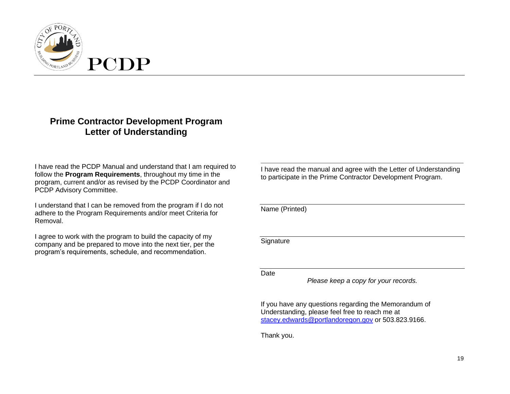

# **Prime Contractor Development Program Letter of Understanding**

I have read the PCDP Manual and understand that I am required to follow the **Program Requirements**, throughout my time in the program, current and/or as revised by the PCDP Coordinator and PCDP Advisory Committee.

I understand that I can be removed from the program if I do not adhere to the Program Requirements and/or meet Criteria for Removal.

I agree to work with the program to build the capacity of my company and be prepared to move into the next tier, per the program's requirements, schedule, and recommendation.

I have read the manual and agree with the Letter of Understanding to participate in the Prime Contractor Development Program.

Name (Printed)

**Signature** 

Date

*Please keep a copy for your records.*

If you have any questions regarding the Memorandum of Understanding, please feel free to reach me at [stacey.edwards@portlandoregon.gov](mailto:stacey.edwards@portlandoregon.gov) or 503.823.9166.

Thank you.